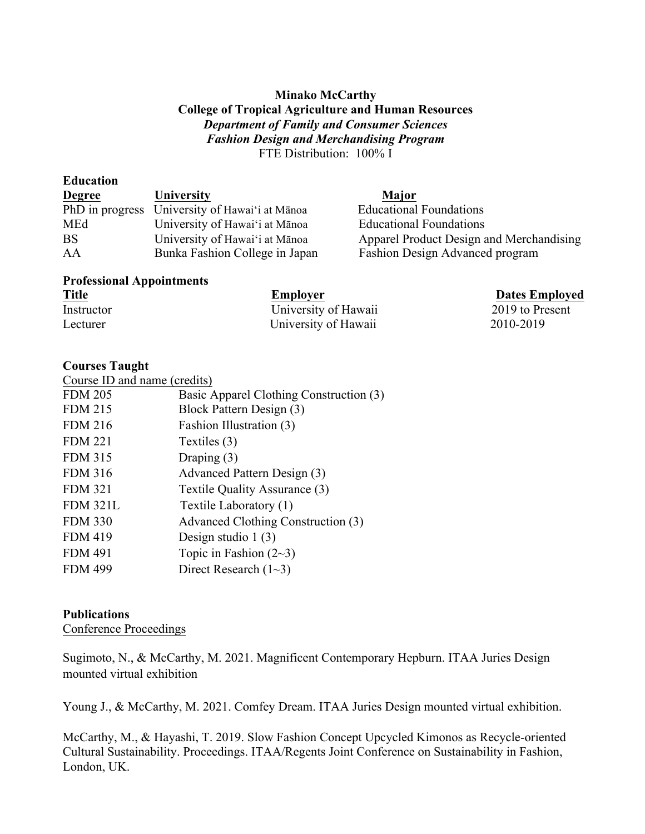### **Minako McCarthy College of Tropical Agriculture and Human Resources** *Department of Family and Consumer Sciences Fashion Design and Merchandising Program*  FTE Distribution: 100% I

| Luulativii    |                                                |                                          |
|---------------|------------------------------------------------|------------------------------------------|
| <b>Degree</b> | University                                     | Major                                    |
|               | PhD in progress University of Hawai'i at Mānoa | <b>Educational Foundations</b>           |
| MEd           | University of Hawai'i at Mānoa                 | <b>Educational Foundations</b>           |
| <b>BS</b>     | University of Hawai'i at Mānoa                 | Apparel Product Design and Merchandising |
| AA            | Bunka Fashion College in Japan                 | Fashion Design Advanced program          |
|               |                                                |                                          |

# **Professional Appointments**

| <b>Title</b> | Employer             | <b>Dates Employed</b> |
|--------------|----------------------|-----------------------|
| Instructor   | University of Hawaii | 2019 to Present       |
| Lecturer     | University of Hawaii | 2010-2019             |

## **Courses Taught**

**Education**

| Course ID and name (credits) |                                         |
|------------------------------|-----------------------------------------|
| <b>FDM 205</b>               | Basic Apparel Clothing Construction (3) |
| <b>FDM 215</b>               | Block Pattern Design (3)                |
| <b>FDM 216</b>               | Fashion Illustration (3)                |
| <b>FDM 221</b>               | Textiles (3)                            |
| <b>FDM 315</b>               | Draping $(3)$                           |
| <b>FDM 316</b>               | Advanced Pattern Design (3)             |
| <b>FDM 321</b>               | Textile Quality Assurance (3)           |
| <b>FDM 321L</b>              | Textile Laboratory (1)                  |
| <b>FDM 330</b>               | Advanced Clothing Construction (3)      |
| <b>FDM 419</b>               | Design studio $1(3)$                    |
| <b>FDM 491</b>               | Topic in Fashion $(2-3)$                |
| <b>FDM 499</b>               | Direct Research $(1-3)$                 |
|                              |                                         |

## **Publications**

Conference Proceedings

Sugimoto, N., & McCarthy, M. 2021. Magnificent Contemporary Hepburn. ITAA Juries Design mounted virtual exhibition

Young J., & McCarthy, M. 2021. Comfey Dream. ITAA Juries Design mounted virtual exhibition.

McCarthy, M., & Hayashi, T. 2019. Slow Fashion Concept Upcycled Kimonos as Recycle-oriented Cultural Sustainability. Proceedings. ITAA/Regents Joint Conference on Sustainability in Fashion, London, UK.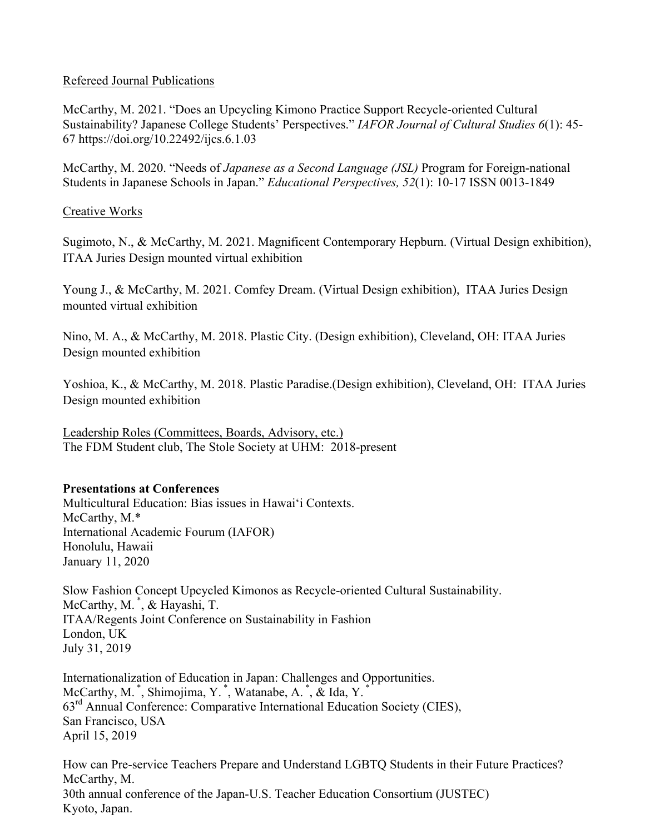## Refereed Journal Publications

McCarthy, M. 2021. "Does an Upcycling Kimono Practice Support Recycle-oriented Cultural Sustainability? Japanese College Students' Perspectives." *IAFOR Journal of Cultural Studies 6*(1): 45- 67 https://doi.org/10.22492/ijcs.6.1.03

McCarthy, M. 2020. "Needs of *Japanese as a Second Language (JSL)* Program for Foreign-national Students in Japanese Schools in Japan." *Educational Perspectives, 52*(1): 10-17 ISSN 0013-1849

## Creative Works

Sugimoto, N., & McCarthy, M. 2021. Magnificent Contemporary Hepburn. (Virtual Design exhibition), ITAA Juries Design mounted virtual exhibition

Young J., & McCarthy, M. 2021. Comfey Dream. (Virtual Design exhibition), ITAA Juries Design mounted virtual exhibition

Nino, M. A., & McCarthy, M. 2018. Plastic City. (Design exhibition), Cleveland, OH: ITAA Juries Design mounted exhibition

Yoshioa, K., & McCarthy, M. 2018. Plastic Paradise.(Design exhibition), Cleveland, OH: ITAA Juries Design mounted exhibition

Leadership Roles (Committees, Boards, Advisory, etc.) The FDM Student club, The Stole Society at UHM: 2018-present

#### **Presentations at Conferences**

Multicultural Education: Bias issues in Hawaiʻi Contexts. McCarthy, M.\* International Academic Fourum (IAFOR) Honolulu, Hawaii January 11, 2020

Slow Fashion Concept Upcycled Kimonos as Recycle-oriented Cultural Sustainability. McCarthy, M.<sup>\*</sup>, & Hayashi, T. ITAA/Regents Joint Conference on Sustainability in Fashion London, UK July 31, 2019

Internationalization of Education in Japan: Challenges and Opportunities. McCarthy, M. \*, Shimojima, Y. \*, Watanabe, A. \*, & Ida, Y. \* 63rd Annual Conference: Comparative International Education Society (CIES), San Francisco, USA April 15, 2019

How can Pre-service Teachers Prepare and Understand LGBTQ Students in their Future Practices? McCarthy, M. 30th annual conference of the Japan-U.S. Teacher Education Consortium (JUSTEC) Kyoto, Japan.